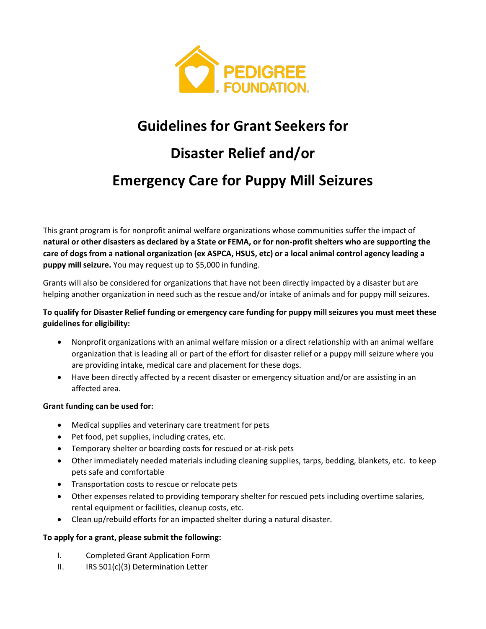

## **Guidelines for Grant Seekers for**

# **Disaster Relief and/or Emergency Care for Puppy Mill Seizures**

This grant program is for nonprofit animal welfare organizations whose communities suffer the impact of **natural or other disasters as declared by a State or FEMA, or for non-profit shelters who are supporting the care of dogs from a national organization (ex ASPCA, HSUS, etc) or a local animal control agency leading a puppy mill seizure.** You may request up to \$5,000 in funding.

Grants will also be considered for organizations that have not been directly impacted by a disaster but are helping another organization in need such as the rescue and/or intake of animals and for puppy mill seizures.

#### **To qualify for Disaster Relief funding or emergency care funding for puppy mill seizures you must meet these guidelines for eligibility:**

- Nonprofit organizations with an animal welfare mission or a direct relationship with an animal welfare organization that is leading all or part of the effort for disaster relief or a puppy mill seizure where you are providing intake, medical care and placement for these dogs.
- Have been directly affected by a recent disaster or emergency situation and/or are assisting in an affected area.

#### **Grant funding can be used for:**

- Medical supplies and veterinary care treatment for pets
- Pet food, pet supplies, including crates, etc.
- Temporary shelter or boarding costs for rescued or at-risk pets
- Other immediately needed materials including cleaning supplies, tarps, bedding, blankets, etc. to keep pets safe and comfortable
- Transportation costs to rescue or relocate pets
- Other expenses related to providing temporary shelter for rescued pets including overtime salaries, rental equipment or facilities, cleanup costs, etc.
- Clean up/rebuild efforts for an impacted shelter during a natural disaster.

#### **To apply for a grant, please submit the following:**

- I. Completed Grant Application Form
- II. IRS 501(c)(3) Determination Letter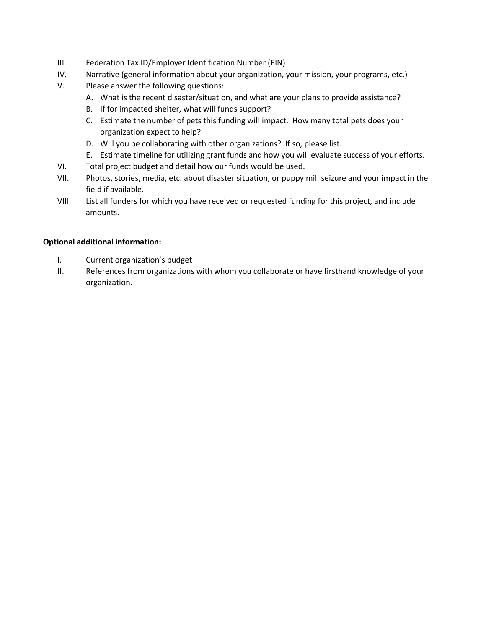- III. Federation Tax ID/Employer Identification Number (EIN)
- IV. Narrative (general information about your organization, your mission, your programs, etc.)
- V. Please answer the following questions:
	- A. What is the recent disaster/situation, and what are your plans to provide assistance?
	- B. If for impacted shelter, what will funds support?
	- C. Estimate the number of pets this funding will impact. How many total pets does your organization expect to help?
	- D. Will you be collaborating with other organizations? If so, please list.
	- E. Estimate timeline for utilizing grant funds and how you will evaluate success of your efforts.
- VI. Total project budget and detail how our funds would be used.
- VII. Photos, stories, media, etc. about disaster situation, or puppy mill seizure and your impact in the field if available.
- VIII. List all funders for which you have received or requested funding for this project, and include amounts.

#### **Optional additional information:**

- I. Current organization's budget
- II. References from organizations with whom you collaborate or have firsthand knowledge of your organization.